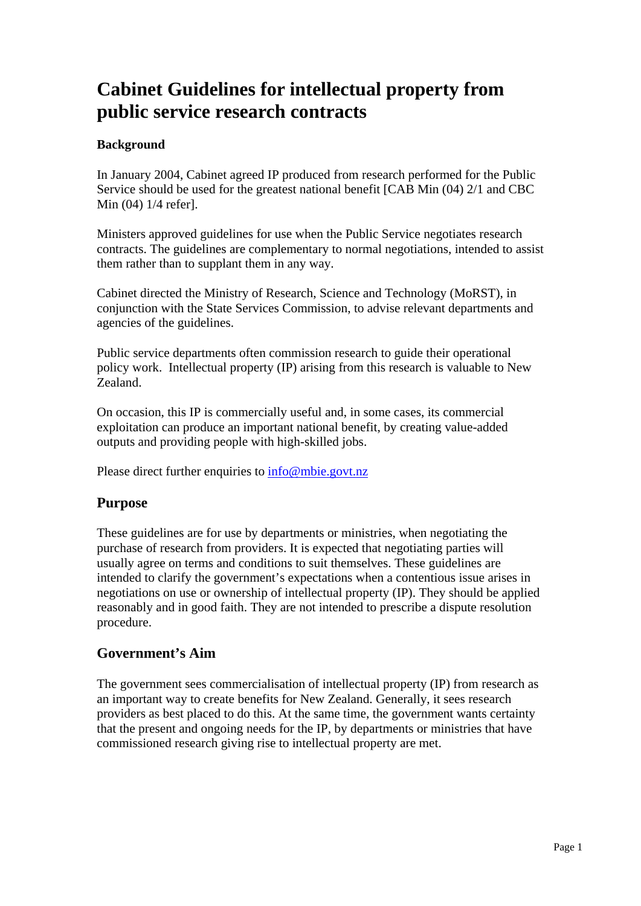# **Cabinet Guidelines for intellectual property from public service research contracts**

#### **Background**

In January 2004, Cabinet agreed IP produced from research performed for the Public Service should be used for the greatest national benefit [CAB Min (04) 2/1 and CBC Min (04) 1/4 refer].

Ministers approved guidelines for use when the Public Service negotiates research contracts. The guidelines are complementary to normal negotiations, intended to assist them rather than to supplant them in any way.

Cabinet directed the Ministry of Research, Science and Technology (MoRST), in conjunction with the State Services Commission, to advise relevant departments and agencies of the guidelines.

Public service departments often commission research to guide their operational policy work. Intellectual property (IP) arising from this research is valuable to New Zealand.

On occasion, this IP is commercially useful and, in some cases, its commercial exploitation can produce an important national benefit, by creating value-added outputs and providing people with high-skilled jobs.

Please direct further enquiries to info@mbie.govt.nz

### **Purpose**

These guidelines are for use by departments or ministries, when negotiating the purchase of research from providers. It is expected that negotiating parties will usually agree on terms and conditions to suit themselves. These guidelines are intended to clarify the government's expectations when a contentious issue arises in negotiations on use or ownership of intellectual property (IP). They should be applied reasonably and in good faith. They are not intended to prescribe a dispute resolution procedure.

### **Government's Aim**

The government sees commercialisation of intellectual property (IP) from research as an important way to create benefits for New Zealand. Generally, it sees research providers as best placed to do this. At the same time, the government wants certainty that the present and ongoing needs for the IP, by departments or ministries that have commissioned research giving rise to intellectual property are met.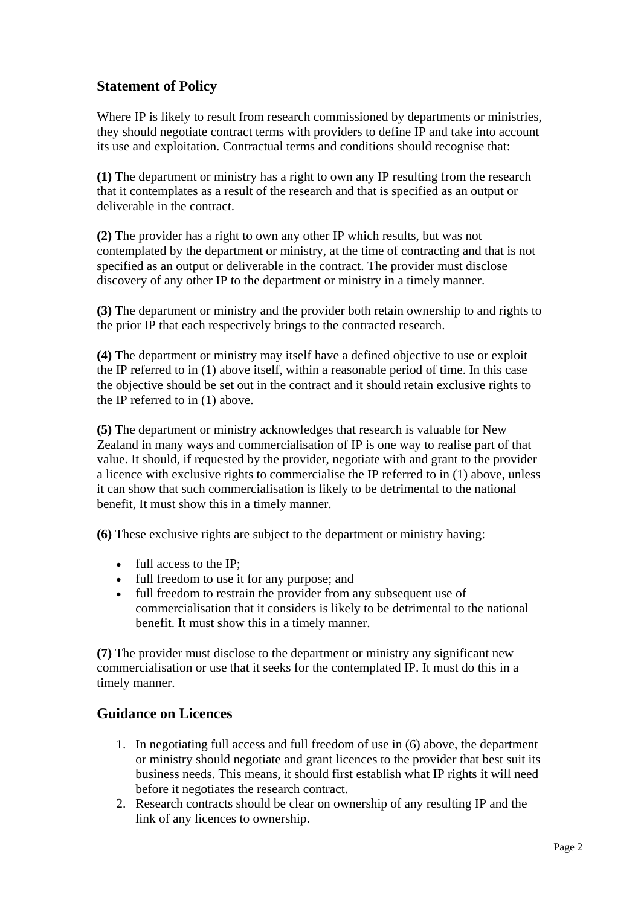## **Statement of Policy**

Where IP is likely to result from research commissioned by departments or ministries, they should negotiate contract terms with providers to define IP and take into account its use and exploitation. Contractual terms and conditions should recognise that:

**(1)** The department or ministry has a right to own any IP resulting from the research that it contemplates as a result of the research and that is specified as an output or deliverable in the contract.

**(2)** The provider has a right to own any other IP which results, but was not contemplated by the department or ministry, at the time of contracting and that is not specified as an output or deliverable in the contract. The provider must disclose discovery of any other IP to the department or ministry in a timely manner.

**(3)** The department or ministry and the provider both retain ownership to and rights to the prior IP that each respectively brings to the contracted research.

**(4)** The department or ministry may itself have a defined objective to use or exploit the IP referred to in (1) above itself, within a reasonable period of time. In this case the objective should be set out in the contract and it should retain exclusive rights to the IP referred to in (1) above.

**(5)** The department or ministry acknowledges that research is valuable for New Zealand in many ways and commercialisation of IP is one way to realise part of that value. It should, if requested by the provider, negotiate with and grant to the provider a licence with exclusive rights to commercialise the IP referred to in (1) above, unless it can show that such commercialisation is likely to be detrimental to the national benefit, It must show this in a timely manner.

**(6)** These exclusive rights are subject to the department or ministry having:

- full access to the IP;
- full freedom to use it for any purpose; and
- full freedom to restrain the provider from any subsequent use of commercialisation that it considers is likely to be detrimental to the national benefit. It must show this in a timely manner.

**(7)** The provider must disclose to the department or ministry any significant new commercialisation or use that it seeks for the contemplated IP. It must do this in a timely manner.

#### **Guidance on Licences**

- 1. In negotiating full access and full freedom of use in (6) above, the department or ministry should negotiate and grant licences to the provider that best suit its business needs. This means, it should first establish what IP rights it will need before it negotiates the research contract.
- 2. Research contracts should be clear on ownership of any resulting IP and the link of any licences to ownership.